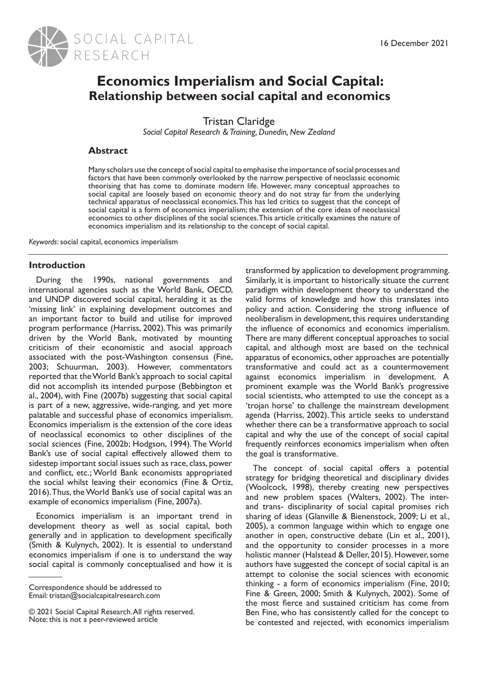

# **Economics Imperialism and Social Capital: Relationship between social capital and economics**

Tristan Claridge

*Social Capital Research & Training, Dunedin, New Zealand*

## **Abstract**

Many scholars use the concept of social capital to emphasise the importance of social processes and factors that have been commonly overlooked by the narrow perspective of neoclassic economic theorising that has come to dominate modern life. However, many conceptual approaches to social capital are loosely based on economic theory and do not stray far from the underlying technical apparatus of neoclassical economics. This has led critics to suggest that the concept of social capital is a form of economics imperialism; the extension of the core ideas of neoclassical economics to other disciplines of the social sciences. This article critically examines the nature of economics imperialism and its relationship to the concept of social capital.

*Keywords*: social capital, economics imperialism

## **Introduction**

During the 1990s, national governments and international agencies such as the World Bank, OECD, and UNDP discovered social capital, heralding it as the 'missing link' in explaining development outcomes and an important factor to build and utilise for improved program performance (Harriss, 2002). This was primarily driven by the World Bank, motivated by mounting criticism of their economistic and asocial approach associated with the post-Washington consensus (Fine, 2003; Schuurman, 2003). However, commentators reported that the World Bank's approach to social capital did not accomplish its intended purpose (Bebbington et al., 2004), with Fine (2007b) suggesting that social capital is part of a new, aggressive, wide-ranging, and yet more palatable and successful phase of economics imperialism. Economics imperialism is the extension of the core ideas of neoclassical economics to other disciplines of the social sciences (Fine, 2002b; Hodgson, 1994). The World Bank's use of social capital effectively allowed them to sidestep important social issues such as race, class, power and conflict, etc.; World Bank economists appropriated the social whilst leaving their economics (Fine & Ortiz, 2016). Thus, the World Bank's use of social capital was an example of economics imperialism (Fine, 2007a).

Economics imperialism is an important trend in development theory as well as social capital, both generally and in application to development specifically (Smith & Kulynych, 2002). It is essential to understand economics imperialism if one is to understand the way social capital is commonly conceptualised and how it is

transformed by application to development programming. Similarly, it is important to historically situate the current paradigm within development theory to understand the valid forms of knowledge and how this translates into policy and action. Considering the strong influence of neoliberalism in development, this requires understanding the influence of economics and economics imperialism. There are many different conceptual approaches to social capital, and although most are based on the technical apparatus of economics, other approaches are potentially transformative and could act as a countermovement against economics imperialism in development. A prominent example was the World Bank's progressive social scientists, who attempted to use the concept as a 'trojan horse' to challenge the mainstream development agenda (Harriss, 2002). This article seeks to understand whether there can be a transformative approach to social capital and why the use of the concept of social capital frequently reinforces economics imperialism when often the goal is transformative.

The concept of social capital offers a potential strategy for bridging theoretical and disciplinary divides (Woolcock, 1998), thereby creating new perspectives and new problem spaces (Walters, 2002). The interand trans- disciplinarity of social capital promises rich sharing of ideas (Glanville & Bienenstock, 2009; Li et al., 2005), a common language within which to engage one another in open, constructive debate (Lin et al., 2001), and the opportunity to consider processes in a more holistic manner (Halstead & Deller, 2015). However, some authors have suggested the concept of social capital is an attempt to colonise the social sciences with economic thinking - a form of economics imperialism (Fine, 2010; Fine & Green, 2000; Smith & Kulynych, 2002). Some of the most fierce and sustained criticism has come from Ben Fine, who has consistently called for the concept to be contested and rejected, with economics imperialism

Correspondence should be addressed to Email: tristan@socialcapitalresearch.com

<sup>© 2021</sup> Social Capital Research. All rights reserved. Note: this is not a peer-reviewed article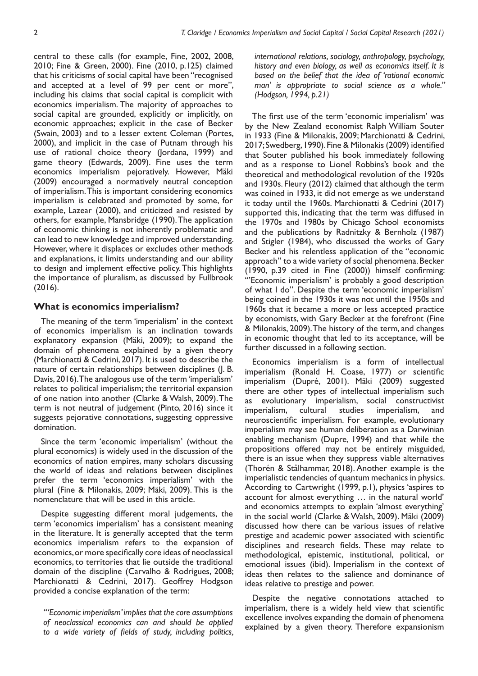central to these calls (for example, Fine, 2002, 2008, 2010; Fine & Green, 2000). Fine (2010, p.125) claimed that his criticisms of social capital have been "recognised and accepted at a level of 99 per cent or more", including his claims that social capital is complicit with economics imperialism. The majority of approaches to social capital are grounded, explicitly or implicitly, on economic approaches; explicit in the case of Becker (Swain, 2003) and to a lesser extent Coleman (Portes, 2000), and implicit in the case of Putnam through his use of rational choice theory (Jordana, 1999) and game theory (Edwards, 2009). Fine uses the term economics imperialism pejoratively. However, Mäki (2009) encouraged a normatively neutral conception of imperialism. This is important considering economics imperialism is celebrated and promoted by some, for example, Lazear (2000), and criticized and resisted by others, for example, Mansbridge (1990). The application of economic thinking is not inherently problematic and can lead to new knowledge and improved understanding. However, where it displaces or excludes other methods and explanations, it limits understanding and our ability to design and implement effective policy. This highlights the importance of pluralism, as discussed by Fullbrook (2016).

#### **What is economics imperialism?**

The meaning of the term 'imperialism' in the context of economics imperialism is an inclination towards explanatory expansion (Mäki, 2009); to expand the domain of phenomena explained by a given theory (Marchionatti & Cedrini, 2017). It is used to describe the nature of certain relationships between disciplines (J. B. Davis, 2016). The analogous use of the term 'imperialism' relates to political imperialism; the territorial expansion of one nation into another (Clarke & Walsh, 2009). The term is not neutral of judgement (Pinto, 2016) since it suggests pejorative connotations, suggesting oppressive domination.

Since the term 'economic imperialism' (without the plural economics) is widely used in the discussion of the economics of nation empires, many scholars discussing the world of ideas and relations between disciplines prefer the term 'economics imperialism' with the plural (Fine & Milonakis, 2009; Mäki, 2009). This is the nomenclature that will be used in this article.

Despite suggesting different moral judgements, the term 'economics imperialism' has a consistent meaning in the literature. It is generally accepted that the term economics imperialism refers to the expansion of economics, or more specifically core ideas of neoclassical economics, to territories that lie outside the traditional domain of the discipline (Carvalho & Rodrigues, 2008; Marchionatti & Cedrini, 2017). Geoffrey Hodgson provided a concise explanation of the term:

*"'Economic imperialism' implies that the core assumptions of neoclassical economics can and should be applied to a wide variety of fields of study, including politics,*  *international relations, sociology, anthropology, psychology, history and even biology, as well as economics itself. It is based on the belief that the idea of 'rational economic man' is appropriate to social science as a whole." (Hodgson, 1994, p.21)*

The first use of the term 'economic imperialism' was by the New Zealand economist Ralph William Souter in 1933 (Fine & Milonakis, 2009; Marchionatti & Cedrini, 2017; Swedberg, 1990). Fine & Milonakis (2009) identified that Souter published his book immediately following and as a response to Lionel Robbins's book and the theoretical and methodological revolution of the 1920s and 1930s. Fleury (2012) claimed that although the term was coined in 1933, it did not emerge as we understand it today until the 1960s. Marchionatti & Cedrini (2017) supported this, indicating that the term was diffused in the 1970s and 1980s by Chicago School economists and the publications by Radnitzky & Bernholz (1987) and Stigler (1984), who discussed the works of Gary Becker and his relentless application of the "economic approach" to a wide variety of social phenomena. Becker (1990, p.39 cited in Fine (2000)) himself confirming: "'Economic imperialism' is probably a good description of what I do". Despite the term 'economic imperialism' being coined in the 1930s it was not until the 1950s and 1960s that it became a more or less accepted practice by economists, with Gary Becker at the forefront (Fine & Milonakis, 2009). The history of the term, and changes in economic thought that led to its acceptance, will be further discussed in a following section.

Economics imperialism is a form of intellectual imperialism (Ronald H. Coase, 1977) or scientific imperialism (Dupré, 2001). Mäki (2009) suggested there are other types of intellectual imperialism such as evolutionary imperialism, social constructivist imperialism, cultural studies imperialism, and neuroscientific imperialism. For example, evolutionary imperialism may see human deliberation as a Darwinian enabling mechanism (Dupre, 1994) and that while the propositions offered may not be entirely misguided, there is an issue when they suppress viable alternatives (Thorén & Stålhammar, 2018). Another example is the imperialistic tendencies of quantum mechanics in physics. According to Cartwright (1999, p.1), physics 'aspires to account for almost everything … in the natural world' and economics attempts to explain 'almost everything' in the social world (Clarke & Walsh, 2009). Mäki (2009) discussed how there can be various issues of relative prestige and academic power associated with scientific disciplines and research fields. These may relate to methodological, epistemic, institutional, political, or emotional issues (ibid). Imperialism in the context of ideas then relates to the salience and dominance of ideas relative to prestige and power.

Despite the negative connotations attached to imperialism, there is a widely held view that scientific excellence involves expanding the domain of phenomena explained by a given theory. Therefore expansionism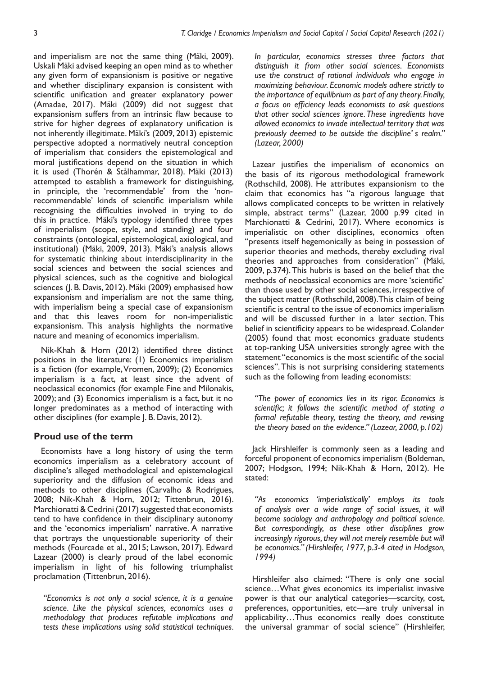and imperialism are not the same thing (Mäki, 2009). Uskali Mäki advised keeping an open mind as to whether any given form of expansionism is positive or negative and whether disciplinary expansion is consistent with scientific unification and greater explanatory power (Amadae, 2017). Mäki (2009) did not suggest that expansionism suffers from an intrinsic flaw because to strive for higher degrees of explanatory unification is not inherently illegitimate. Mäki's (2009, 2013) epistemic perspective adopted a normatively neutral conception of imperialism that considers the epistemological and moral justifications depend on the situation in which it is used (Thorén & Stålhammar, 2018). Mäki (2013) attempted to establish a framework for distinguishing, in principle, the 'recommendable' from the 'nonrecommendable' kinds of scientific imperialism while recognising the difficulties involved in trying to do this in practice. Mäki's typology identified three types of imperialism (scope, style, and standing) and four constraints (ontological, epistemological, axiological, and institutional) (Mäki, 2009, 2013). Mäki's analysis allows for systematic thinking about interdisciplinarity in the social sciences and between the social sciences and physical sciences, such as the cognitive and biological sciences (J. B. Davis, 2012). Mäki (2009) emphasised how expansionism and imperialism are not the same thing, with imperialism being a special case of expansionism and that this leaves room for non-imperialistic expansionism. This analysis highlights the normative nature and meaning of economics imperialism.

Nik-Khah & Horn (2012) identified three distinct positions in the literature: (1) Economics imperialism is a fiction (for example, Vromen, 2009); (2) Economics imperialism is a fact, at least since the advent of neoclassical economics (for example Fine and Milonakis, 2009); and (3) Economics imperialism is a fact, but it no longer predominates as a method of interacting with other disciplines (for example J. B. Davis, 2012).

#### **Proud use of the term**

Economists have a long history of using the term economics imperialism as a celebratory account of discipline's alleged methodological and epistemological superiority and the diffusion of economic ideas and methods to other disciplines (Carvalho & Rodrigues, 2008; Nik-Khah & Horn, 2012; Tittenbrun, 2016). Marchionatti & Cedrini (2017) suggested that economists tend to have confidence in their disciplinary autonomy and the 'economics imperialism' narrative. A narrative that portrays the unquestionable superiority of their methods (Fourcade et al., 2015; Lawson, 2017). Edward Lazear (2000) is clearly proud of the label economic imperialism in light of his following triumphalist proclamation (Tittenbrun, 2016).

*"Economics is not only a social science, it is a genuine science. Like the physical sciences, economics uses a methodology that produces refutable implications and tests these implications using solid statistical techniques.*  *In particular, economics stresses three factors that distinguish it from other social sciences. Economists use the construct of rational individuals who engage in maximizing behaviour. Economic models adhere strictly to the importance of equilibrium as part of any theory. Finally, a focus on efficiency leads economists to ask questions that other social sciences ignore. These ingredients have allowed economics to invade intellectual territory that was previously deemed to be outside the discipline' s realm." (Lazear, 2000)*

Lazear justifies the imperialism of economics on the basis of its rigorous methodological framework (Rothschild, 2008). He attributes expansionism to the claim that economics has "a rigorous language that allows complicated concepts to be written in relatively simple, abstract terms" (Lazear, 2000 p.99 cited in Marchionatti & Cedrini, 2017). Where economics is imperialistic on other disciplines, economics often "presents itself hegemonically as being in possession of superior theories and methods, thereby excluding rival theories and approaches from consideration" (Mäki, 2009, p.374). This hubris is based on the belief that the methods of neoclassical economics are more 'scientific' than those used by other social sciences, irrespective of the subject matter (Rothschild, 2008). This claim of being scientific is central to the issue of economics imperialism and will be discussed further in a later section. This belief in scientificity appears to be widespread. Colander (2005) found that most economics graduate students at top-ranking USA universities strongly agree with the statement "economics is the most scientific of the social sciences". This is not surprising considering statements such as the following from leading economists:

*"The power of economics lies in its rigor. Economics is scientific; it follows the scientific method of stating a formal refutable theory, testing the theory, and revising the theory based on the evidence." (Lazear, 2000, p.102)*

Jack Hirshleifer is commonly seen as a leading and forceful proponent of economics imperialism (Boldeman, 2007; Hodgson, 1994; Nik-Khah & Horn, 2012). He stated:

*"As economics 'imperialistically' employs its tools of analysis over a wide range of social issues, it will become sociology and anthropology and political science. But correspondingly, as these other disciplines grow increasingly rigorous, they will not merely resemble but will be economics." (Hirshleifer, 1977, p.3-4 cited in Hodgson, 1994)*

Hirshleifer also claimed: "There is only one social science…What gives economics its imperialist invasive power is that our analytical categories—scarcity, cost, preferences, opportunities, etc—are truly universal in applicability…Thus economics really does constitute the universal grammar of social science" (Hirshleifer,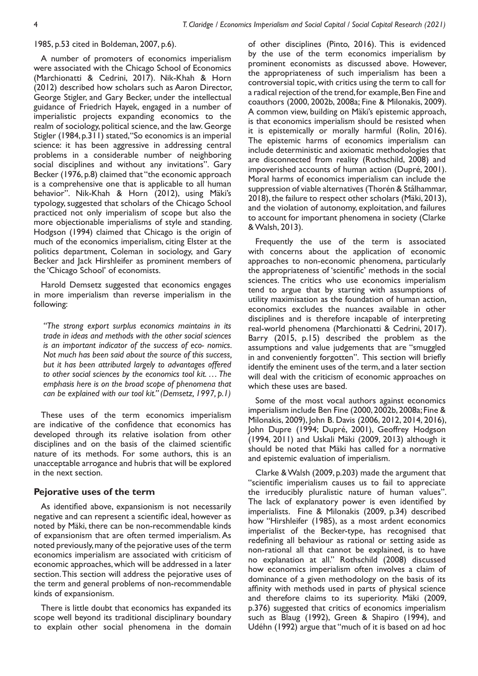#### 1985, p.53 cited in Boldeman, 2007, p.6).

A number of promoters of economics imperialism were associated with the Chicago School of Economics (Marchionatti & Cedrini, 2017). Nik-Khah & Horn (2012) described how scholars such as Aaron Director, George Stigler, and Gary Becker, under the intellectual guidance of Friedrich Hayek, engaged in a number of imperialistic projects expanding economics to the realm of sociology, political science, and the law. George Stigler (1984, p.311) stated, "So economics is an imperial science: it has been aggressive in addressing central problems in a considerable number of neighboring social disciplines and without any invitations". Gary Becker (1976, p.8) claimed that "the economic approach is a comprehensive one that is applicable to all human behavior". Nik-Khah & Horn (2012), using Mäki's typology, suggested that scholars of the Chicago School practiced not only imperialism of scope but also the more objectionable imperialisms of style and standing. Hodgson (1994) claimed that Chicago is the origin of much of the economics imperialism, citing Elster at the politics department, Coleman in sociology, and Gary Becker and lack Hirshleifer as prominent members of the 'Chicago School' of economists.

Harold Demsetz suggested that economics engages in more imperialism than reverse imperialism in the following:

*"The strong export surplus economics maintains in its trade in ideas and methods with the other social sciences is an important indicator of the success of eco- nomics. Not much has been said about the source of this success, but it has been attributed largely to advantages offered to other social sciences by the economics tool kit. … The emphasis here is on the broad scope of phenomena that can be explained with our tool kit." (Demsetz, 1997, p.1)*

These uses of the term economics imperialism are indicative of the confidence that economics has developed through its relative isolation from other disciplines and on the basis of the claimed scientific nature of its methods. For some authors, this is an unacceptable arrogance and hubris that will be explored in the next section.

#### **Pejorative uses of the term**

As identified above, expansionism is not necessarily negative and can represent a scientific ideal, however as noted by Mäki, there can be non-recommendable kinds of expansionism that are often termed imperialism. As noted previously, many of the pejorative uses of the term economics imperialism are associated with criticism of economic approaches, which will be addressed in a later section. This section will address the pejorative uses of the term and general problems of non-recommendable kinds of expansionism.

There is little doubt that economics has expanded its scope well beyond its traditional disciplinary boundary to explain other social phenomena in the domain

of other disciplines (Pinto, 2016). This is evidenced by the use of the term economics imperialism by prominent economists as discussed above. However, the appropriateness of such imperialism has been a controversial topic, with critics using the term to call for a radical rejection of the trend, for example, Ben Fine and coauthors (2000, 2002b, 2008a; Fine & Milonakis, 2009). A common view, building on Mäki's epistemic approach, is that economics imperialism should be resisted when it is epistemically or morally harmful (Rolin, 2016). The epistemic harms of economics imperialism can include deterministic and axiomatic methodologies that are disconnected from reality (Rothschild, 2008) and impoverished accounts of human action (Dupré, 2001). Moral harms of economics imperialism can include the suppression of viable alternatives (Thorén & Stålhammar, 2018), the failure to respect other scholars (Mäki, 2013), and the violation of autonomy, exploitation, and failures to account for important phenomena in society (Clarke & Walsh, 2013).

Frequently the use of the term is associated with concerns about the application of economic approaches to non-economic phenomena, particularly the appropriateness of 'scientific' methods in the social sciences. The critics who use economics imperialism tend to argue that by starting with assumptions of utility maximisation as the foundation of human action, economics excludes the nuances available in other disciplines and is therefore incapable of interpreting real-world phenomena (Marchionatti & Cedrini, 2017). Barry (2015, p.15) described the problem as the assumptions and value judgements that are "smuggled in and conveniently forgotten". This section will briefly identify the eminent uses of the term, and a later section will deal with the criticism of economic approaches on which these uses are based.

Some of the most vocal authors against economics imperialism include Ben Fine (2000, 2002b, 2008a; Fine & Milonakis, 2009), John B. Davis (2006, 2012, 2014, 2016), John Dupre (1994; Dupré, 2001), Geoffrey Hodgson (1994, 2011) and Uskali Mäki (2009, 2013) although it should be noted that Mäki has called for a normative and epistemic evaluation of imperialism.

Clarke & Walsh (2009, p.203) made the argument that "scientific imperialism causes us to fail to appreciate the irreducibly pluralistic nature of human values". The lack of explanatory power is even identified by imperialists. Fine & Milonakis (2009, p.34) described how "Hirshleifer (1985), as a most ardent economics imperialist of the Becker-type, has recognised that redefining all behaviour as rational or setting aside as non-rational all that cannot be explained, is to have no explanation at all." Rothschild (2008) discussed how economics imperialism often involves a claim of dominance of a given methodology on the basis of its affinity with methods used in parts of physical science and therefore claims to its superiority. Mäki (2009, p.376) suggested that critics of economics imperialism such as Blaug (1992), Green & Shapiro (1994), and Udéhn (1992) argue that "much of it is based on ad hoc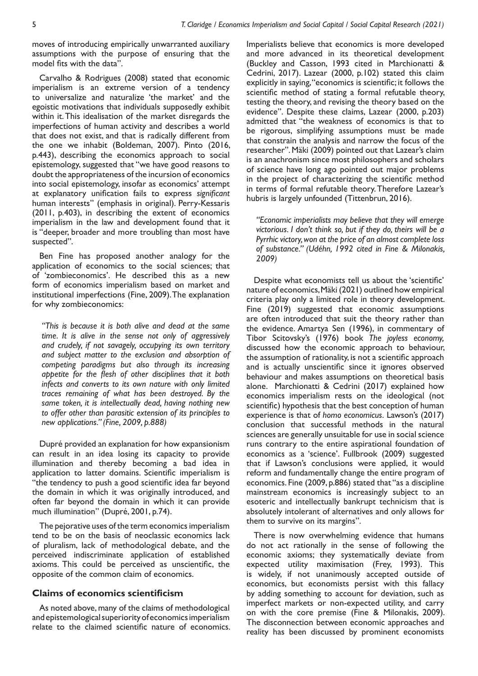moves of introducing empirically unwarranted auxiliary assumptions with the purpose of ensuring that the model fits with the data".

Carvalho & Rodrigues (2008) stated that economic imperialism is an extreme version of a tendency to universalize and naturalize 'the market' and the egoistic motivations that individuals supposedly exhibit within it. This idealisation of the market disregards the imperfections of human activity and describes a world that does not exist, and that is radically different from the one we inhabit (Boldeman, 2007). Pinto (2016, p.443), describing the economics approach to social epistemology, suggested that "we have good reasons to doubt the appropriateness of the incursion of economics into social epistemology, insofar as economics' attempt at explanatory unification fails to express *significant* human interests" (emphasis in original). Perry-Kessaris (2011, p.403), in describing the extent of economics imperialism in the law and development found that it is "deeper, broader and more troubling than most have suspected".

Ben Fine has proposed another analogy for the application of economics to the social sciences; that of 'zombieconomics'. He described this as a new form of economics imperialism based on market and institutional imperfections (Fine, 2009). The explanation for why zombieconomics:

*"This is because it is both alive and dead at the same time. It is alive in the sense not only of aggressively and crudely, if not savagely, occupying its own territory and subject matter to the exclusion and absorption of competing paradigms but also through its increasing appetite for the flesh of other disciplines that it both infects and converts to its own nature with only limited traces remaining of what has been destroyed. By the same token, it is intellectually dead, having nothing new to offer other than parasitic extension of its principles to new applications." (Fine, 2009, p.888)*

Dupré provided an explanation for how expansionism can result in an idea losing its capacity to provide illumination and thereby becoming a bad idea in application to latter domains. Scientific imperialism is "the tendency to push a good scientific idea far beyond the domain in which it was originally introduced, and often far beyond the domain in which it can provide much illumination" (Dupré, 2001, p.74).

The pejorative uses of the term economics imperialism tend to be on the basis of neoclassic economics lack of pluralism, lack of methodological debate, and the perceived indiscriminate application of established axioms. This could be perceived as unscientific, the opposite of the common claim of economics.

## **Claims of economics scientificism**

As noted above, many of the claims of methodological and epistemological superiority of economics imperialism relate to the claimed scientific nature of economics.

Imperialists believe that economics is more developed and more advanced in its theoretical development (Buckley and Casson, 1993 cited in Marchionatti & Cedrini, 2017). Lazear (2000, p.102) stated this claim explicitly in saying, "economics is scientific; it follows the scientific method of stating a formal refutable theory, testing the theory, and revising the theory based on the evidence". Despite these claims, Lazear (2000, p.203) admitted that "the weakness of economics is that to be rigorous, simplifying assumptions must be made that constrain the analysis and narrow the focus of the researcher". Mäki (2009) pointed out that Lazear's claim is an anachronism since most philosophers and scholars of science have long ago pointed out major problems in the project of characterizing the scientific method in terms of formal refutable theory. Therefore Lazear's hubris is largely unfounded (Tittenbrun, 2016).

*"Economic imperialists may believe that they will emerge victorious. I don't think so, but if they do, theirs will be a Pyrrhic victory, won at the price of an almost complete loss of substance." (Udéhn, 1992 cited in Fine & Milonakis, 2009)*

Despite what economists tell us about the 'scientific' nature of economics, Mäki (2021) outlined how empirical criteria play only a limited role in theory development. Fine (2019) suggested that economic assumptions are often introduced that suit the theory rather than the evidence. Amartya Sen (1996), in commentary of Tibor Scitovsky's (1976) book *The joyless economy,* discussed how the economic approach to behaviour, the assumption of rationality, is not a scientific approach and is actually unscientific since it ignores observed behaviour and makes assumptions on theoretical basis alone. Marchionatti & Cedrini (2017) explained how economics imperialism rests on the ideological (not scientific) hypothesis that the best conception of human experience is that of *homo economicus.* Lawson's (2017) conclusion that successful methods in the natural sciences are generally unsuitable for use in social science runs contrary to the entire aspirational foundation of economics as a 'science'. Fullbrook (2009) suggested that if Lawson's conclusions were applied, it would reform and fundamentally change the entire program of economics. Fine (2009, p.886) stated that "as a discipline mainstream economics is increasingly subject to an esoteric and intellectually bankrupt technicism that is absolutely intolerant of alternatives and only allows for them to survive on its margins".

There is now overwhelming evidence that humans do not act rationally in the sense of following the economic axioms; they systematically deviate from expected utility maximisation (Frey, 1993). This is widely, if not unanimously accepted outside of economics, but economists persist with this fallacy by adding something to account for deviation, such as imperfect markets or non-expected utility, and carry on with the core premise (Fine & Milonakis, 2009). The disconnection between economic approaches and reality has been discussed by prominent economists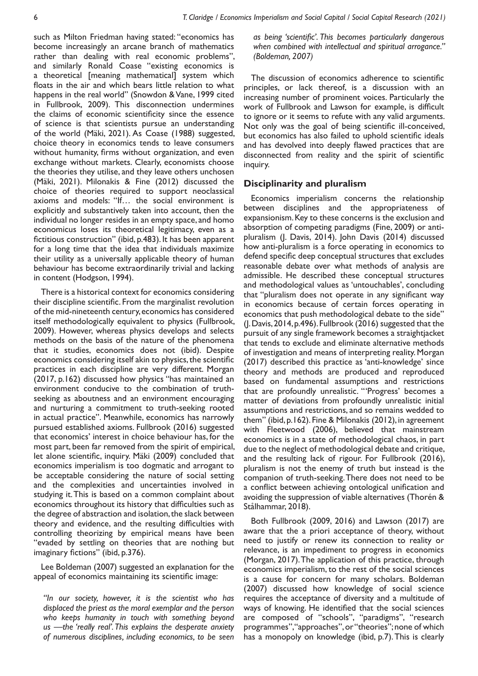such as Milton Friedman having stated: "economics has become increasingly an arcane branch of mathematics rather than dealing with real economic problems", and similarly Ronald Coase "existing economics is a theoretical [meaning mathematical] system which floats in the air and which bears little relation to what happens in the real world" (Snowdon & Vane, 1999 cited in Fullbrook, 2009). This disconnection undermines the claims of economic scientificity since the essence of science is that scientists pursue an understanding of the world (Mäki, 2021). As Coase (1988) suggested, choice theory in economics tends to leave consumers without humanity, firms without organization, and even exchange without markets. Clearly, economists choose the theories they utilise, and they leave others unchosen (Mäki, 2021). Milonakis & Fine (2012) discussed the choice of theories required to support neoclassical axioms and models: "If… the social environment is explicitly and substantively taken into account, then the individual no longer resides in an empty space, and homo economicus loses its theoretical legitimacy, even as a fictitious construction" (ibid, p.483). It has been apparent for a long time that the idea that individuals maximize their utility as a universally applicable theory of human behaviour has become extraordinarily trivial and lacking in content (Hodgson, 1994).

There is a historical context for economics considering their discipline scientific. From the marginalist revolution of the mid-nineteenth century, economics has considered itself methodologically equivalent to physics (Fullbrook, 2009). However, whereas physics develops and selects methods on the basis of the nature of the phenomena that it studies, economics does not (ibid). Despite economics considering itself akin to physics, the scientific practices in each discipline are very different. Morgan (2017, p.162) discussed how physics "has maintained an environment conducive to the combination of truthseeking as aboutness and an environment encouraging and nurturing a commitment to truth-seeking rooted in actual practice". Meanwhile, economics has narrowly pursued established axioms. Fullbrook (2016) suggested that economics' interest in choice behaviour has, for the most part, been far removed from the spirit of empirical, let alone scientific, inquiry. Mäki (2009) concluded that economics imperialism is too dogmatic and arrogant to be acceptable considering the nature of social setting and the complexities and uncertainties involved in studying it. This is based on a common complaint about economics throughout its history that difficulties such as the degree of abstraction and isolation, the slack between theory and evidence, and the resulting difficulties with controlling theorizing by empirical means have been "evaded by settling on theories that are nothing but imaginary fictions" (ibid, p.376).

Lee Boldeman (2007) suggested an explanation for the appeal of economics maintaining its scientific image:

*"In our society, however, it is the scientist who has displaced the priest as the moral exemplar and the person who keeps humanity in touch with something beyond us —the 'really real'. This explains the desperate anxiety of numerous disciplines, including economics, to be seen*  *as being 'scientific'. This becomes particularly dangerous when combined with intellectual and spiritual arrogance." (Boldeman, 2007)*

The discussion of economics adherence to scientific principles, or lack thereof, is a discussion with an increasing number of prominent voices. Particularly the work of Fullbrook and Lawson for example, is difficult to ignore or it seems to refute with any valid arguments. Not only was the goal of being scientific ill-conceived, but economics has also failed to uphold scientific ideals and has devolved into deeply flawed practices that are disconnected from reality and the spirit of scientific inquiry.

#### **Disciplinarity and pluralism**

Economics imperialism concerns the relationship between disciplines and the appropriateness of expansionism. Key to these concerns is the exclusion and absorption of competing paradigms (Fine, 2009) or antipluralism (J. Davis, 2014). John Davis (2014) discussed how anti-pluralism is a force operating in economics to defend specific deep conceptual structures that excludes reasonable debate over what methods of analysis are admissible. He described these conceptual structures and methodological values as 'untouchables', concluding that "pluralism does not operate in any significant way in economics because of certain forces operating in economics that push methodological debate to the side" (J. Davis, 2014, p.496). Fullbrook (2016) suggested that the pursuit of any single framework becomes a straightjacket that tends to exclude and eliminate alternative methods of investigation and means of interpreting reality. Morgan (2017) described this practice as 'anti-knowledge' since theory and methods are produced and reproduced based on fundamental assumptions and restrictions that are profoundly unrealistic. "'Progress' becomes a matter of deviations from profoundly unrealistic initial assumptions and restrictions, and so remains wedded to them" (ibid, p.162). Fine & Milonakis (2012), in agreement with Fleetwood (2006), believed that mainstream economics is in a state of methodological chaos, in part due to the neglect of methodological debate and critique, and the resulting lack of rigour. For Fullbrook (2016), pluralism is not the enemy of truth but instead is the companion of truth-seeking. There does not need to be a conflict between achieving ontological unification and avoiding the suppression of viable alternatives (Thorén & Stålhammar, 2018).

Both Fullbrook (2009, 2016) and Lawson (2017) are aware that the a priori acceptance of theory, without need to justify or renew its connection to reality or relevance, is an impediment to progress in economics (Morgan, 2017). The application of this practice, through economics imperialism, to the rest of the social sciences is a cause for concern for many scholars. Boldeman (2007) discussed how knowledge of social science requires the acceptance of diversity and a multitude of ways of knowing. He identified that the social sciences are composed of "schools", "paradigms", "research programmes", "approaches", or "theories"; none of which has a monopoly on knowledge (ibid, p.7). This is clearly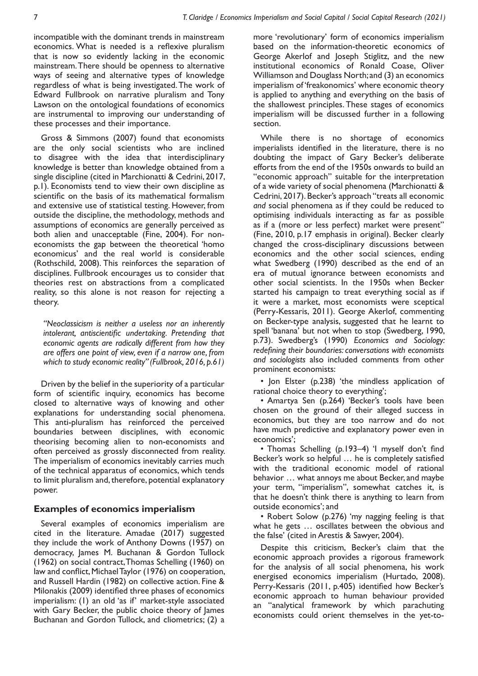incompatible with the dominant trends in mainstream economics. What is needed is a reflexive pluralism that is now so evidently lacking in the economic mainstream. There should be openness to alternative ways of seeing and alternative types of knowledge regardless of what is being investigated. The work of Edward Fullbrook on narrative pluralism and Tony Lawson on the ontological foundations of economics are instrumental to improving our understanding of these processes and their importance.

Gross & Simmons (2007) found that economists are the only social scientists who are inclined to disagree with the idea that interdisciplinary knowledge is better than knowledge obtained from a single discipline (cited in Marchionatti & Cedrini, 2017, p.1). Economists tend to view their own discipline as scientific on the basis of its mathematical formalism and extensive use of statistical testing. However, from outside the discipline, the methodology, methods and assumptions of economics are generally perceived as both alien and unacceptable (Fine, 2004). For noneconomists the gap between the theoretical 'homo economicus' and the real world is considerable (Rothschild, 2008). This reinforces the separation of disciplines. Fullbrook encourages us to consider that theories rest on abstractions from a complicated reality, so this alone is not reason for rejecting a theory.

*"Neoclassicism is neither a useless nor an inherently intolerant, antiscientific undertaking. Pretending that economic agents are radically different from how they are offers one point of view, even if a narrow one, from which to study economic reality" (Fullbrook, 2016, p.61)*

Driven by the belief in the superiority of a particular form of scientific inquiry, economics has become closed to alternative ways of knowing and other explanations for understanding social phenomena. This anti-pluralism has reinforced the perceived boundaries between disciplines, with economic theorising becoming alien to non-economists and often perceived as grossly disconnected from reality. The imperialism of economics inevitably carries much of the technical apparatus of economics, which tends to limit pluralism and, therefore, potential explanatory power.

# **Examples of economics imperialism**

Several examples of economics imperialism are cited in the literature. Amadae (2017) suggested they include the work of Anthony Downs (1957) on democracy, James M. Buchanan & Gordon Tullock (1962) on social contract, Thomas Schelling (1960) on law and conflict, Michael Taylor (1976) on cooperation, and Russell Hardin (1982) on collective action. Fine & Milonakis (2009) identified three phases of economics imperialism: (1) an old 'as if' market-style associated with Gary Becker, the public choice theory of James Buchanan and Gordon Tullock, and cliometrics; (2) a

more 'revolutionary' form of economics imperialism based on the information-theoretic economics of George Akerlof and Joseph Stiglitz, and the new institutional economics of Ronald Coase, Oliver Williamson and Douglass North; and (3) an economics imperialism of 'freakonomics' where economic theory is applied to anything and everything on the basis of the shallowest principles. These stages of economics imperialism will be discussed further in a following section.

While there is no shortage of economics imperialists identified in the literature, there is no doubting the impact of Gary Becker's deliberate efforts from the end of the 1950s onwards to build an "economic approach" suitable for the interpretation of a wide variety of social phenomena (Marchionatti & Cedrini, 2017). Becker's approach "treats all economic *and* social phenomena as if they could be reduced to optimising individuals interacting as far as possible as if a (more or less perfect) market were present" (Fine, 2010, p.17 emphasis in original). Becker clearly changed the cross-disciplinary discussions between economics and the other social sciences, ending what Swedberg (1990) described as the end of an era of mutual ignorance between economists and other social scientists. In the 1950s when Becker started his campaign to treat everything social as if it were a market, most economists were sceptical (Perry-Kessaris, 2011). George Akerlof, commenting on Becker-type analysis, suggested that he learnt to spell 'banana' but not when to stop (Swedberg, 1990, p.73). Swedberg's (1990) *Economics and Sociology: redefining their boundaries: conversations with economists and sociologists* also included comments from other prominent economists:

• Jon Elster (p.238) 'the mindless application of rational choice theory to everything';

• Amartya Sen (p.264) 'Becker's tools have been chosen on the ground of their alleged success in economics, but they are too narrow and do not have much predictive and explanatory power even in economics';

• Thomas Schelling (p.193–4) 'I myself don't find Becker's work so helpful … he is completely satisfied with the traditional economic model of rational behavior … what annoys me about Becker, and maybe your term, "imperialism", somewhat catches it, is that he doesn't think there is anything to learn from outside economics'; and

• Robert Solow (p.276) 'my nagging feeling is that what he gets … oscillates between the obvious and the false' (cited in Arestis & Sawyer, 2004).

Despite this criticism, Becker's claim that the economic approach provides a rigorous framework for the analysis of all social phenomena, his work energised economics imperialism (Hurtado, 2008). Perry-Kessaris (2011, p.405) identified how Becker's economic approach to human behaviour provided an "analytical framework by which parachuting economists could orient themselves in the yet-to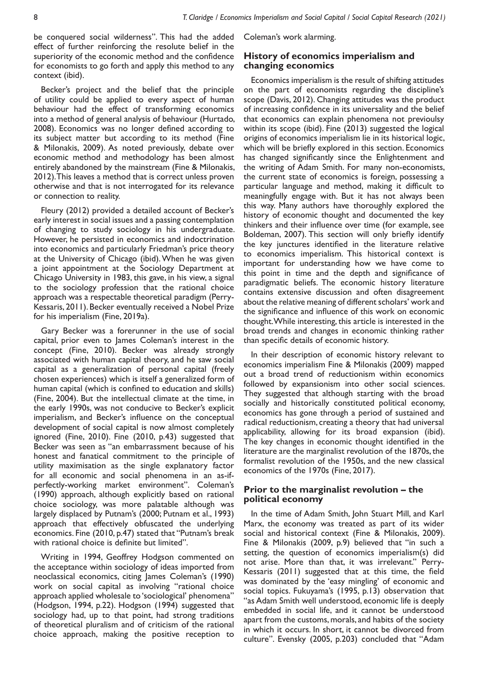be conquered social wilderness". This had the added effect of further reinforcing the resolute belief in the superiority of the economic method and the confidence for economists to go forth and apply this method to any context (ibid).

Becker's project and the belief that the principle of utility could be applied to every aspect of human behaviour had the effect of transforming economics into a method of general analysis of behaviour (Hurtado, 2008). Economics was no longer defined according to its subject matter but according to its method (Fine & Milonakis, 2009). As noted previously, debate over economic method and methodology has been almost entirely abandoned by the mainstream (Fine & Milonakis, 2012). This leaves a method that is correct unless proven otherwise and that is not interrogated for its relevance or connection to reality.

Fleury (2012) provided a detailed account of Becker's early interest in social issues and a passing contemplation of changing to study sociology in his undergraduate. However, he persisted in economics and indoctrination into economics and particularly Friedman's price theory at the University of Chicago (ibid). When he was given a joint appointment at the Sociology Department at Chicago University in 1983, this gave, in his view, a signal to the sociology profession that the rational choice approach was a respectable theoretical paradigm (Perry-Kessaris, 2011). Becker eventually received a Nobel Prize for his imperialism (Fine, 2019a).

Gary Becker was a forerunner in the use of social capital, prior even to James Coleman's interest in the concept (Fine, 2010). Becker was already strongly associated with human capital theory, and he saw social capital as a generalization of personal capital (freely chosen experiences) which is itself a generalized form of human capital (which is confined to education and skills) (Fine, 2004). But the intellectual climate at the time, in the early 1990s, was not conducive to Becker's explicit imperialism, and Becker's influence on the conceptual development of social capital is now almost completely ignored (Fine, 2010). Fine (2010, p.43) suggested that Becker was seen as "an embarrassment because of his honest and fanatical commitment to the principle of utility maximisation as the single explanatory factor for all economic and social phenomena in an as-ifperfectly-working market environment". Coleman's (1990) approach, although explicitly based on rational choice sociology, was more palatable although was largely displaced by Putnam's (2000; Putnam et al., 1993) approach that effectively obfuscated the underlying economics. Fine (2010, p.47) stated that "Putnam's break with rational choice is definite but limited".

Writing in 1994, Geoffrey Hodgson commented on the acceptance within sociology of ideas imported from neoclassical economics, citing James Coleman's (1990) work on social capital as involving "rational choice approach applied wholesale to 'sociological' phenomena" (Hodgson, 1994, p.22). Hodgson (1994) suggested that sociology had, up to that point, had strong traditions of theoretical pluralism and of criticism of the rational choice approach, making the positive reception to

Coleman's work alarming.

## **History of economics imperialism and changing economics**

Economics imperialism is the result of shifting attitudes on the part of economists regarding the discipline's scope (Davis, 2012). Changing attitudes was the product of increasing confidence in its universality and the belief that economics can explain phenomena not previoulsy within its scope (ibid). Fine (2013) suggested the logical origins of economics imperialism lie in its historical logic, which will be briefly explored in this section. Economics has changed significantly since the Enlightenment and the writing of Adam Smith. For many non-economists, the current state of economics is foreign, possessing a particular language and method, making it difficult to meaningfully engage with. But it has not always been this way. Many authors have thoroughly explored the history of economic thought and documented the key thinkers and their influence over time (for example, see Boldeman, 2007). This section will only briefly identify the key junctures identified in the literature relative to economics imperialism. This historical context is important for understanding how we have come to this point in time and the depth and significance of paradigmatic beliefs. The economic history literature contains extensive discussion and often disagreement about the relative meaning of different scholars' work and the significance and influence of this work on economic thought. While interesting, this article is interested in the broad trends and changes in economic thinking rather than specific details of economic history.

In their description of economic history relevant to economics imperialism Fine & Milonakis (2009) mapped out a broad trend of reductionism within economics followed by expansionism into other social sciences. They suggested that although starting with the broad socially and historically constituted political economy, economics has gone through a period of sustained and radical reductionism, creating a theory that had universal applicability, allowing for its broad expansion (ibid). The key changes in economic thought identified in the literature are the marginalist revolution of the 1870s, the formalist revolution of the 1950s, and the new classical economics of the 1970s (Fine, 2017).

## **Prior to the marginalist revolution – the political economy**

In the time of Adam Smith, John Stuart Mill, and Karl Marx, the economy was treated as part of its wider social and historical context (Fine & Milonakis, 2009). Fine & Milonakis (2009, p.9) believed that "in such a setting, the question of economics imperialism(s) did not arise. More than that, it was irrelevant." Perry-Kessaris (2011) suggested that at this time, the field was dominated by the 'easy mingling' of economic and social topics. Fukuyama's (1995, p.13) observation that "as Adam Smith well understood, economic life is deeply embedded in social life, and it cannot be understood apart from the customs, morals, and habits of the society in which it occurs. In short, it cannot be divorced from culture". Evensky (2005, p.203) concluded that "Adam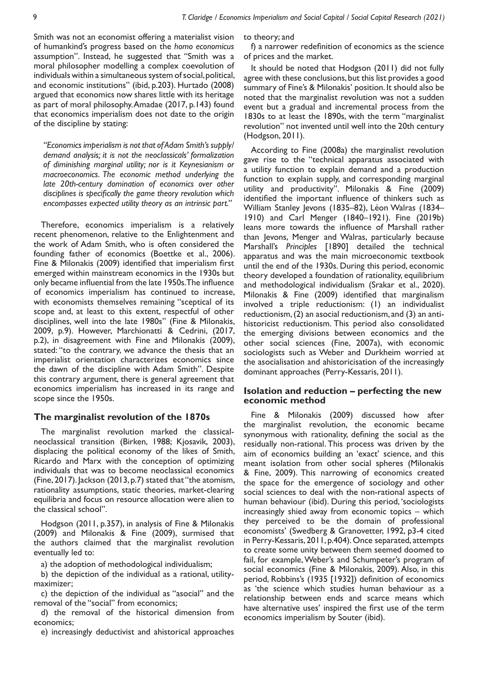Smith was not an economist offering a materialist vision of humankind's progress based on the *homo economicus* assumption". Instead, he suggested that "Smith was a moral philosopher modelling a complex coevolution of individuals within a simultaneous system of social, political, and economic institutions" (ibid, p.203). Hurtado (2008) argued that economics now shares little with its heritage as part of moral philosophy. Amadae (2017, p.143) found that economics imperialism does not date to the origin of the discipline by stating:

*"Economics imperialism is not that of Adam Smith's supply/ demand analysis; it is not the neoclassicals' formalization of diminishing marginal utility; nor is it Keynesianism or macroeconomics. The economic method underlying the late 20th-century domination of economics over other disciplines is specifically the game theory revolution which encompasses expected utility theory as an intrinsic part."* 

Therefore, economics imperialism is a relatively recent phenomenon, relative to the Enlightenment and the work of Adam Smith, who is often considered the founding father of economics (Boettke et al., 2006). Fine & Milonakis (2009) identified that imperialism first emerged within mainstream economics in the 1930s but only became influential from the late 1950s. The influence of economics imperialism has continued to increase, with economists themselves remaining "sceptical of its scope and, at least to this extent, respectful of other disciplines, well into the late 1980s" (Fine & Milonakis, 2009, p.9). However, Marchionatti & Cedrini, (2017, p.2), in disagreement with Fine and Milonakis (2009), stated: "to the contrary, we advance the thesis that an imperialist orientation characterizes economics since the dawn of the discipline with Adam Smith". Despite this contrary argument, there is general agreement that economics imperialism has increased in its range and scope since the 1950s.

#### **The marginalist revolution of the 1870s**

The marginalist revolution marked the classicalneoclassical transition (Birken, 1988; Kjosavik, 2003), displacing the political economy of the likes of Smith, Ricardo and Marx with the conception of optimizing individuals that was to become neoclassical economics (Fine, 2017). Jackson (2013, p.7) stated that "the atomism, rationality assumptions, static theories, market-clearing equilibria and focus on resource allocation were alien to the classical school".

Hodgson (2011, p.357), in analysis of Fine & Milonakis (2009) and Milonakis & Fine (2009), surmised that the authors claimed that the marginalist revolution eventually led to:

a) the adoption of methodological individualism;

b) the depiction of the individual as a rational, utilitymaximizer;

c) the depiction of the individual as ''asocial'' and the removal of the ''social'' from economics;

d) the removal of the historical dimension from economics;

e) increasingly deductivist and ahistorical approaches

to theory; and

f) a narrower redefinition of economics as the science of prices and the market.

It should be noted that Hodgson (2011) did not fully agree with these conclusions, but this list provides a good summary of Fine's & Milonakis' position. It should also be noted that the marginalist revolution was not a sudden event but a gradual and incremental process from the 1830s to at least the 1890s, with the term "marginalist revolution" not invented until well into the 20th century (Hodgson, 2011).

According to Fine (2008a) the marginalist revolution gave rise to the "technical apparatus associated with a utility function to explain demand and a production function to explain supply, and corresponding marginal utility and productivity". Milonakis & Fine (2009) identified the important influence of thinkers such as William Stanley Jevons (1835–82), Léon Walras (1834– 1910) and Carl Menger (1840–1921). Fine (2019b) leans more towards the influence of Marshall rather than Jevons, Menger and Walras, particularly because Marshall's *Principles* [1890] detailed the technical apparatus and was the main microeconomic textbook until the end of the 1930s. During this period, economic theory developed a foundation of rationality, equilibrium and methodological individualism (Srakar et al., 2020). Milonakis & Fine (2009) identified that marginalism involved a triple reductionism: (1) an individualist reductionism, (2) an asocial reductionism, and (3) an antihistoricist reductionism. This period also consolidated the emerging divisions between economics and the other social sciences (Fine, 2007a), with economic sociologists such as Weber and Durkheim worried at the asocialisation and ahistoricisation of the increasingly dominant approaches (Perry-Kessaris, 2011).

#### **Isolation and reduction – perfecting the new economic method**

Fine & Milonakis (2009) discussed how after the marginalist revolution, the economic became synonymous with rationality, defining the social as the residually non-rational. This process was driven by the aim of economics building an 'exact' science, and this meant isolation from other social spheres (Milonakis & Fine, 2009). This narrowing of economics created the space for the emergence of sociology and other social sciences to deal with the non-rational aspects of human behaviour (ibid). During this period, 'sociologists increasingly shied away from economic topics – which they perceived to be the domain of professional economists' (Swedberg & Granovetter, 1992, p3-4 cited in Perry-Kessaris, 2011, p.404). Once separated, attempts to create some unity between them seemed doomed to fail, for example, Weber's and Schumpeter's program of social economics (Fine & Milonakis, 2009). Also, in this period, Robbins's (1935 [1932]) definition of economics as 'the science which studies human behaviour as a relationship between ends and scarce means which have alternative uses' inspired the first use of the term economics imperialism by Souter (ibid).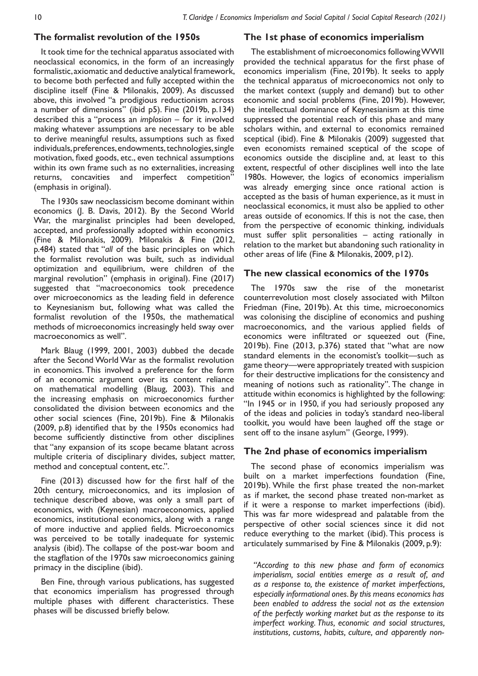## **The formalist revolution of the 1950s**

It took time for the technical apparatus associated with neoclassical economics, in the form of an increasingly formalistic, axiomatic and deductive analytical framework, to become both perfected and fully accepted within the discipline itself (Fine & Milonakis, 2009). As discussed above, this involved "a prodigious reductionism across a number of dimensions" (ibid p5). Fine (2019b, p.134) described this a "process an *implosion* – for it involved making whatever assumptions are necessary to be able to derive meaningful results, assumptions such as fixed individuals, preferences, endowments, technologies, single motivation, fixed goods, etc., even technical assumptions within its own frame such as no externalities, increasing returns, concavities and imperfect competition" (emphasis in original).

The 1930s saw neoclassicism become dominant within economics (J. B. Davis, 2012). By the Second World War, the marginalist principles had been developed, accepted, and professionally adopted within economics (Fine & Milonakis, 2009). Milonakis & Fine (2012, p.484) stated that "*all* of the basic principles on which the formalist revolution was built, such as individual optimization and equilibrium, were children of the marginal revolution" (emphasis in original). Fine (2017) suggested that "macroeconomics took precedence over microeconomics as the leading field in deference to Keynesianism but, following what was called the formalist revolution of the 1950s, the mathematical methods of microeconomics increasingly held sway over macroeconomics as well".

Mark Blaug (1999, 2001, 2003) dubbed the decade after the Second World War as the formalist revolution in economics. This involved a preference for the form of an economic argument over its content reliance on mathematical modelling (Blaug, 2003). This and the increasing emphasis on microeconomics further consolidated the division between economics and the other social sciences (Fine, 2019b). Fine & Milonakis (2009, p.8) identified that by the 1950s economics had become sufficiently distinctive from other disciplines that "any expansion of its scope became blatant across multiple criteria of disciplinary divides, subject matter, method and conceptual content, etc.".

Fine (2013) discussed how for the first half of the 20th century, microeconomics, and its implosion of technique described above, was only a small part of economics, with (Keynesian) macroeconomics, applied economics, institutional economics, along with a range of more inductive and applied fields. Microeconomics was perceived to be totally inadequate for systemic analysis (ibid). The collapse of the post-war boom and the stagflation of the 1970s saw microeconomics gaining primacy in the discipline (ibid).

Ben Fine, through various publications, has suggested that economics imperialism has progressed through multiple phases with different characteristics. These phases will be discussed briefly below.

#### **The 1st phase of economics imperialism**

The establishment of microeconomics following WWII provided the technical apparatus for the first phase of economics imperialism (Fine, 2019b). It seeks to apply the technical apparatus of microeconomics not only to the market context (supply and demand) but to other economic and social problems (Fine, 2019b). However, the intellectual dominance of Keynesianism at this time suppressed the potential reach of this phase and many scholars within, and external to economics remained sceptical (ibid). Fine & Milonakis (2009) suggested that even economists remained sceptical of the scope of economics outside the discipline and, at least to this extent, respectful of other disciplines well into the late 1980s. However, the logics of economics imperialism was already emerging since once rational action is accepted as the basis of human experience, as it must in neoclassical economics, it must also be applied to other areas outside of economics. If this is not the case, then from the perspective of economic thinking, individuals must suffer split personalities – acting rationally in relation to the market but abandoning such rationality in other areas of life (Fine & Milonakis, 2009, p12).

## **The new classical economics of the 1970s**

The 1970s saw the rise of the monetarist counterrevolution most closely associated with Milton Friedman (Fine, 2019b). At this time, microeconomics was colonising the discipline of economics and pushing macroeconomics, and the various applied fields of economics were infiltrated or squeezed out (Fine, 2019b). Fine (2013, p.376) stated that "what are now standard elements in the economist's toolkit—such as game theory—were appropriately treated with suspicion for their destructive implications for the consistency and meaning of notions such as rationality". The change in attitude within economics is highlighted by the following: "In 1945 or in 1950, if you had seriously proposed any of the ideas and policies in today's standard neo-liberal toolkit, you would have been laughed off the stage or sent off to the insane asylum" (George, 1999).

# **The 2nd phase of economics imperialism**

The second phase of economics imperialism was built on a market imperfections foundation (Fine, 2019b). While the first phase treated the non-market as if market, the second phase treated non-market as if it were a response to market imperfections (ibid). This was far more widespread and palatable from the perspective of other social sciences since it did not reduce everything to the market (ibid). This process is articulately summarised by Fine & Milonakis (2009, p.9):

*"According to this new phase and form of economics imperialism, social entities emerge as a result of, and as a response to, the existence of market imperfections, especially informational ones. By this means economics has been enabled to address the social not as the extension of the perfectly working market but as the response to its imperfect working. Thus, economic and social structures, institutions, customs, habits, culture, and apparently non-*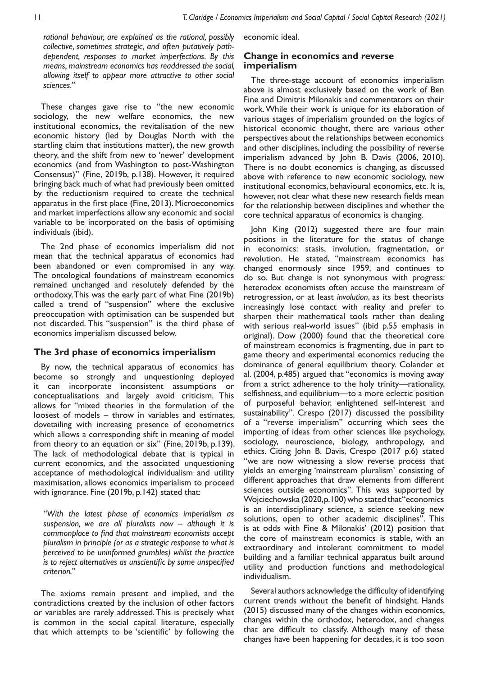*rational behaviour, are explained as the rational, possibly collective, sometimes strategic, and often putatively pathdependent, responses to market imperfections. By this means, mainstream economics has readdressed the social, allowing itself to appear more attractive to other social sciences."*

These changes gave rise to "the new economic sociology, the new welfare economics, the new institutional economics, the revitalisation of the new economic history (led by Douglas North with the startling claim that institutions matter), the new growth theory, and the shift from new to 'newer' development economics (and from Washington to post-Washington Consensus)" (Fine, 2019b, p.138). However, it required bringing back much of what had previously been omitted by the reductionism required to create the technical apparatus in the first place (Fine, 2013). Microeconomics and market imperfections allow any economic and social variable to be incorporated on the basis of optimising individuals (ibid).

The 2nd phase of economics imperialism did not mean that the technical apparatus of economics had been abandoned or even compromised in any way. The ontological foundations of mainstream economics remained unchanged and resolutely defended by the orthodoxy. This was the early part of what Fine (2019b) called a trend of "suspension" where the exclusive preoccupation with optimisation can be suspended but not discarded. This "suspension" is the third phase of economics imperialism discussed below.

## **The 3rd phase of economics imperialism**

By now, the technical apparatus of economics has become so strongly and unquestioning deployed it can incorporate inconsistent assumptions or conceptualisations and largely avoid criticism. This allows for "mixed theories in the formulation of the loosest of models – throw in variables and estimates, dovetailing with increasing presence of econometrics which allows a corresponding shift in meaning of model from theory to an equation or six" (Fine, 2019b, p.139). The lack of methodological debate that is typical in current economics, and the associated unquestioning acceptance of methodological individualism and utility maximisation, allows economics imperialism to proceed with ignorance. Fine (2019b, p.142) stated that:

*"With the latest phase of economics imperialism as suspension, we are all pluralists now – although it is commonplace to find that mainstream economists accept pluralism in principle (or as a strategic response to what is perceived to be uninformed grumbles) whilst the practice is to reject alternatives as unscientific by some unspecified criterion."*

The axioms remain present and implied, and the contradictions created by the inclusion of other factors or variables are rarely addressed. This is precisely what is common in the social capital literature, especially that which attempts to be 'scientific' by following the

economic ideal.

## **Change in economics and reverse imperialism**

The three-stage account of economics imperialism above is almost exclusively based on the work of Ben Fine and Dimitris Milonakis and commentators on their work. While their work is unique for its elaboration of various stages of imperialism grounded on the logics of historical economic thought, there are various other perspectives about the relationships between economics and other disciplines, including the possibility of reverse imperialism advanced by John B. Davis (2006, 2010). There is no doubt economics is changing, as discussed above with reference to new economic sociology, new institutional economics, behavioural economics, etc. It is, however, not clear what these new research fields mean for the relationship between disciplines and whether the core technical apparatus of economics is changing.

John King (2012) suggested there are four main positions in the literature for the status of change in economics: stasis, involution, fragmentation, or revolution. He stated, "mainstream economics has changed enormously since 1959, and continues to do so. But change is not synonymous with progress: heterodox economists often accuse the mainstream of retrogression, or at least *involution*, as its best theorists increasingly lose contact with reality and prefer to sharpen their mathematical tools rather than dealing with serious real-world issues" (ibid p.55 emphasis in original). Dow (2000) found that the theoretical core of mainstream economics is fragmenting, due in part to game theory and experimental economics reducing the dominance of general equilibrium theory. Colander et al. (2004, p.485) argued that "economics is moving away from a strict adherence to the holy trinity—rationality, selfishness, and equilibrium—to a more eclectic position of purposeful behavior, enlightened self-interest and sustainability". Crespo (2017) discussed the possibility of a "reverse imperialism" occurring which sees the importing of ideas from other sciences like psychology, sociology, neuroscience, biology, anthropology, and ethics. Citing John B. Davis, Crespo (2017 p.6) stated "we are now witnessing a slow reverse process that yields an emerging 'mainstream pluralism' consisting of different approaches that draw elements from different sciences outside economics". This was supported by Wojciechowska (2020, p.100) who stated that "economics is an interdisciplinary science, a science seeking new solutions, open to other academic disciplines". This is at odds with Fine & Milonakis' (2012) position that the core of mainstream economics is stable, with an extraordinary and intolerant commitment to model building and a familiar technical apparatus built around utility and production functions and methodological individualism.

Several authors acknowledge the difficulty of identifying current trends without the benefit of hindsight. Hands (2015) discussed many of the changes within economics, changes within the orthodox, heterodox, and changes that are difficult to classify. Although many of these changes have been happening for decades, it is too soon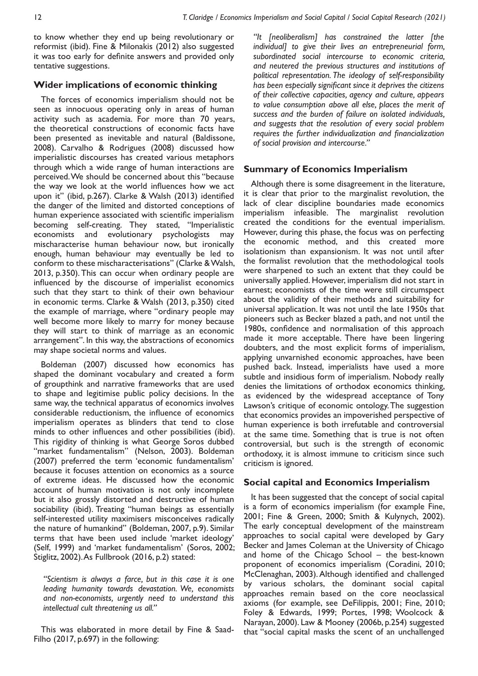to know whether they end up being revolutionary or reformist (ibid). Fine & Milonakis (2012) also suggested it was too early for definite answers and provided only tentative suggestions.

# **Wider implications of economic thinking**

The forces of economics imperialism should not be seen as innocuous operating only in areas of human activity such as academia. For more than 70 years, the theoretical constructions of economic facts have been presented as inevitable and natural (Baldissone, 2008). Carvalho & Rodrigues (2008) discussed how imperialistic discourses has created various metaphors through which a wide range of human interactions are perceived. We should be concerned about this "because the way we look at the world influences how we act upon it" (ibid, p.267). Clarke & Walsh (2013) identified the danger of the limited and distorted conceptions of human experience associated with scientific imperialism becoming self-creating. They stated, "Imperialistic economists and evolutionary psychologists may mischaracterise human behaviour now, but ironically enough, human behaviour may eventually be led to conform to these mischaracterisations" (Clarke & Walsh, 2013, p.350). This can occur when ordinary people are influenced by the discourse of imperialist economics such that they start to think of their own behaviour in economic terms. Clarke & Walsh (2013, p.350) cited the example of marriage, where "ordinary people may well become more likely to marry for money because they will start to think of marriage as an economic arrangement". In this way, the abstractions of economics may shape societal norms and values.

Boldeman (2007) discussed how economics has shaped the dominant vocabulary and created a form of groupthink and narrative frameworks that are used to shape and legitimise public policy decisions. In the same way, the technical apparatus of economics involves considerable reductionism, the influence of economics imperialism operates as blinders that tend to close minds to other influences and other possibilities (ibid). This rigidity of thinking is what George Soros dubbed "market fundamentalism" (Nelson, 2003). Boldeman (2007) preferred the term 'economic fundamentalism' because it focuses attention on economics as a source of extreme ideas. He discussed how the economic account of human motivation is not only incomplete but it also grossly distorted and destructive of human sociability (ibid). Treating "human beings as essentially self-interested utility maximisers misconceives radically the nature of humankind" (Boldeman, 2007, p.9). Similar terms that have been used include 'market ideology' (Self, 1999) and 'market fundamentalism' (Soros, 2002; Stiglitz, 2002). As Fullbrook (2016, p.2) stated:

*"Scientism is always a farce, but in this case it is one leading humanity towards devastation. We, economists and non-economists, urgently need to understand this intellectual cult threatening us all."*

This was elaborated in more detail by Fine & Saad-Filho (2017, p.697) in the following:

*"It [neoliberalism] has constrained the latter [the individual] to give their lives an entrepreneurial form, subordinated social intercourse to economic criteria, and neutered the previous structures and institutions of political representation. The ideology of self-responsibility has been especially significant since it deprives the citizens of their collective capacities, agency and culture, appears to value consumption above all else, places the merit of success and the burden of failure on isolated individuals, and suggests that the resolution of every social problem requires the further individualization and financialization of social provision and intercourse."*

## **Summary of Economics Imperialism**

Although there is some disagreement in the literature, it is clear that prior to the marginalist revolution, the lack of clear discipline boundaries made economics imperialism infeasible. The marginalist revolution created the conditions for the eventual imperialism. However, during this phase, the focus was on perfecting the economic method, and this created more isolationism than expansionism. It was not until after the formalist revolution that the methodological tools were sharpened to such an extent that they could be universally applied. However, imperialism did not start in earnest; economists of the time were still circumspect about the validity of their methods and suitability for universal application. It was not until the late 1950s that pioneers such as Becker blazed a path, and not until the 1980s, confidence and normalisation of this approach made it more acceptable. There have been lingering doubters, and the most explicit forms of imperialism, applying unvarnished economic approaches, have been pushed back. Instead, imperialists have used a more subtle and insidious form of imperialism. Nobody really denies the limitations of orthodox economics thinking, as evidenced by the widespread acceptance of Tony Lawson's critique of economic ontology. The suggestion that economics provides an impoverished perspective of human experience is both irrefutable and controversial at the same time. Something that is true is not often controversial, but such is the strength of economic orthodoxy, it is almost immune to criticism since such criticism is ignored.

## **Social capital and Economics Imperialism**

It has been suggested that the concept of social capital is a form of economics imperialism (for example Fine, 2001; Fine & Green, 2000; Smith & Kulynych, 2002). The early conceptual development of the mainstream approaches to social capital were developed by Gary Becker and James Coleman at the University of Chicago and home of the Chicago School – the best-known proponent of economics imperialism (Coradini, 2010; McClenaghan, 2003). Although identified and challenged by various scholars, the dominant social capital approaches remain based on the core neoclassical axioms (for example, see DeFilippis, 2001; Fine, 2010; Foley & Edwards, 1999; Portes, 1998; Woolcock & Narayan, 2000). Law & Mooney (2006b, p.254) suggested that "social capital masks the scent of an unchallenged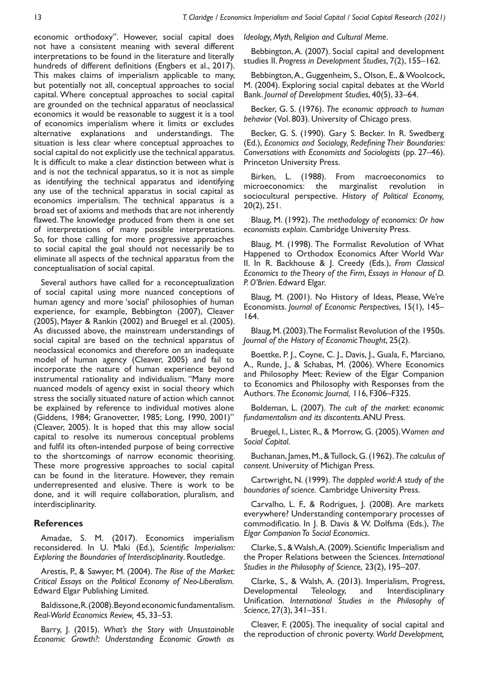economic orthodoxy". However, social capital does not have a consistent meaning with several different interpretations to be found in the literature and literally hundreds of different definitions (Engbers et al., 2017). This makes claims of imperialism applicable to many, but potentially not all, conceptual approaches to social capital. Where conceptual approaches to social capital are grounded on the technical apparatus of neoclassical economics it would be reasonable to suggest it is a tool of economics imperialism where it limits or excludes alternative explanations and understandings. The situation is less clear where conceptual approaches to social capital do not explicitly use the technical apparatus. It is difficult to make a clear distinction between what is and is not the technical apparatus, so it is not as simple as identifying the technical apparatus and identifying any use of the technical apparatus in social capital as economics imperialism. The technical apparatus is a broad set of axioms and methods that are not inherently flawed. The knowledge produced from them is one set of interpretations of many possible interpretations. So, for those calling for more progressive approaches to social capital the goal should not necessarily be to eliminate all aspects of the technical apparatus from the conceptualisation of social capital.

Several authors have called for a reconceptualization of social capital using more nuanced conceptions of human agency and more 'social' philosophies of human experience, for example, Bebbington (2007), Cleaver (2005), Mayer & Rankin (2002) and Bruegel et al. (2005). As discussed above, the mainstream understandings of social capital are based on the technical apparatus of neoclassical economics and therefore on an inadequate model of human agency (Cleaver, 2005) and fail to incorporate the nature of human experience beyond instrumental rationality and individualism. "Many more nuanced models of agency exist in social theory which stress the socially situated nature of action which cannot be explained by reference to individual motives alone (Giddens, 1984; Granovetter, 1985; Long, 1990, 2001)" (Cleaver, 2005). It is hoped that this may allow social capital to resolve its numerous conceptual problems and fulfil its often-intended purpose of being corrective to the shortcomings of narrow economic theorising. These more progressive approaches to social capital can be found in the literature. However, they remain underrepresented and elusive. There is work to be done, and it will require collaboration, pluralism, and interdisciplinarity.

# **References**

Amadae, S. M. (2017). Economics imperialism reconsidered. In U. Maki (Ed.), *Scientific Imperialism: Exploring the Boundaries of Interdisciplinarity*. Routledge.

Arestis, P., & Sawyer, M. (2004). *The Rise of the Market: Critical Essays on the Political Economy of Neo-Liberalism.* Edward Elgar Publishing Limited.

Baldissone, R. (2008). Beyond economic fundamentalism. *Real-World Economics Review,* 45, 33–53.

Barry, J. (2015). *What's the Story with Unsustainable Economic Growth?: Understanding Economic Growth as*  *Ideology, Myth, Religion and Cultural Meme*.

Bebbington, A. (2007). Social capital and development studies II. *Progress in Development Studies*, 7(2), 155–162.

Bebbington, A., Guggenheim, S., Olson, E., & Woolcock, M. (2004). Exploring social capital debates at the World Bank. *Journal of Development Studies*, 40(5), 33–64.

Becker, G. S. (1976). *The economic approach to human behavior* (Vol. 803). University of Chicago press.

Becker, G. S. (1990). Gary S. Becker. In R. Swedberg (Ed.), *Economics and Sociology, Redefining Their Boundaries: Conversations with Economists and Sociologists* (pp. 27–46). Princeton University Press.

Birken, L. (1988). From macroeconomics to microeconomics: the marginalist revolution in sociocultural perspective. *History of Political Economy,* 20(2), 251.

Blaug, M. (1992). *The methodology of economics: Or how economists explain*. Cambridge University Press.

Blaug, M. (1998). The Formalist Revolution of What Happened to Orthodox Economics After World War II. In R. Backhouse & J. Creedy (Eds.), *From Classical Economics to the Theory of the Firm, Essays in Honour of D. P. O'Brien*. Edward Elgar.

Blaug, M. (2001). No History of Ideas, Please, We're Economists. *Journal of Economic Perspectives*, 15(1), 145– 164.

Blaug, M. (2003). The Formalist Revolution of the 1950s. *Journal of the History of Economic Thought*, 25(2).

Boettke, P. J., Coyne, C. J., Davis, J., Guala, F., Marciano, A., Runde, J., & Schabas, M. (2006). Where Economics and Philosophy Meet: Review of the Elgar Companion to Economics and Philosophy with Responses from the Authors. *The Economic Journal,* 116, F306–F325.

Boldeman, L. (2007). *The cult of the market: economic fundamentalism and its discontents*. ANU Press.

Bruegel, I., Lister, R., & Morrow, G. (2005). W*omen and Social Capital*.

Buchanan, James, M., & Tullock, G. (1962). *The calculus of consent*. University of Michigan Press.

Cartwright, N. (1999). *The dappled world: A study of the boundaries of science.* Cambridge University Press.

Carvalho, L. F., & Rodrigues, J. (2008). Are markets everywhere? Understanding contemporary processes of commodificatio. In J. B. Davis & W. Dolfsma (Eds.), *The Elgar Companion To Social Economics*.

Clarke, S., & Walsh, A. (2009). Scientific Imperialism and the Proper Relations between the Sciences. *International Studies in the Philosophy of Science,* 23(2), 195–207.

Clarke, S., & Walsh, A. (2013). Imperialism, Progress, Developmental Teleology, and Interdisciplinary Unification. *International Studies in the Philosophy of Science*, 27(3), 341–351.

Cleaver, F. (2005). The inequality of social capital and the reproduction of chronic poverty. *World Development,*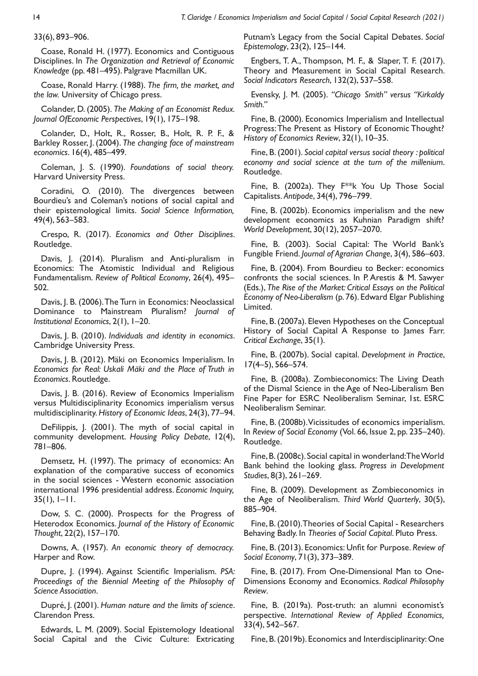33(6), 893–906.

Coase, Ronald H. (1977). Economics and Contiguous Disciplines. In *The Organization and Retrieval of Economic Knowledge* (pp. 481–495). Palgrave Macmillan UK.

Coase, Ronald Harry. (1988). *The firm, the market, and the law.* University of Chicago press.

Colander, D. (2005). *The Making of an Economist Redux. Journal OfEconomic Perspectives*, 19(1), 175–198.

Colander, D., Holt, R., Rosser, B., Holt, R. P. F., & Barkley Rosser, J. (2004). *The changing face of mainstream economics*. 16(4), 485–499.

Coleman, J. S. (1990). *Foundations of social theory.* Harvard University Press.

Coradini, O. (2010). The divergences between Bourdieu's and Coleman's notions of social capital and their epistemological limits. *Social Science Information,* 49(4), 563–583.

Crespo, R. (2017). *Economics and Other Disciplines*. Routledge.

Davis, J. (2014). Pluralism and Anti-pluralism in Economics: The Atomistic Individual and Religious Fundamentalism. *Review of Political Economy*, 26(4), 495– 502.

Davis, J. B. (2006). The Turn in Economics: Neoclassical Dominance to Mainstream Pluralism? *Journal of Institutional Economics*, 2(1), 1–20.

Davis, J. B. (2010). *Individuals and identity in economics*. Cambridge University Press.

Davis, J. B. (2012). Mäki on Economics Imperialism. In *Economics for Real: Uskali Mäki and the Place of Truth in Economics*. Routledge.

Davis, J. B. (2016). Review of Economics Imperialism versus Multidisciplinarity Economics imperialism versus multidisciplinarity. *History of Economic Ideas*, 24(3), 77–94.

DeFilippis, J. (2001). The myth of social capital in community development. *Housing Policy Debate*, 12(4), 781–806.

Demsetz, H. (1997). The primacy of economics: An explanation of the comparative success of economics in the social sciences - Western economic association international 1996 presidential address. *Economic Inquiry,*  $35(1)$ ,  $1-11$ .

Dow, S. C. (2000). Prospects for the Progress of Heterodox Economics. *Journal of the History of Economic Thought*, 22(2), 157–170.

Downs, A. (1957). *An economic theory of democracy.* Harper and Row.

Dupre, J. (1994). Against Scientific Imperialism. *PSA: Proceedings of the Biennial Meeting of the Philosophy of Science Association*.

Dupré, J. (2001). *Human nature and the limits of science*. Clarendon Press.

Edwards, L. M. (2009). Social Epistemology Ideational Social Capital and the Civic Culture: Extricating Putnam's Legacy from the Social Capital Debates. *Social Epistemology*, 23(2), 125–144.

Engbers, T. A., Thompson, M. F., & Slaper, T. F. (2017). Theory and Measurement in Social Capital Research. *Social Indicators Research*, 132(2), 537–558.

Evensky, J. M. (2005). *"Chicago Smith" versus "Kirkaldy Smith."*

Fine, B. (2000). Economics Imperialism and Intellectual Progress: The Present as History of Economic Thought? *History of Economics Review*, 32(1), 10–35.

Fine, B. (2001). *Social capital versus social theory : political economy and social science at the turn of the millenium*. Routledge.

Fine, B. (2002a). They F\*\*k You Up Those Social Capitalists. *Antipode*, 34(4), 796–799.

Fine, B. (2002b). Economics imperialism and the new development economics as Kuhnian Paradigm shift? *World Development*, 30(12), 2057–2070.

Fine, B. (2003). Social Capital: The World Bank's Fungible Friend. *Journal of Agrarian Change*, 3(4), 586–603.

Fine, B. (2004). From Bourdieu to Becker: economics confronts the social sciences. In P. Arestis & M. Sawyer (Eds.), *The Rise of the Market: Critical Essays on the Political Economy of Neo-Liberalism* (p. 76). Edward Elgar Publishing Limited.

Fine, B. (2007a). Eleven Hypotheses on the Conceptual History of Social Capital A Response to James Farr. *Critical Exchange*, 35(1).

Fine, B. (2007b). Social capital. *Development in Practice*, 17(4–5), 566–574.

Fine, B. (2008a). Zombieconomics: The Living Death of the Dismal Science in the Age of Neo-Liberalism Ben Fine Paper for ESRC Neoliberalism Seminar, 1st. ESRC Neoliberalism Seminar.

Fine, B. (2008b). Vicissitudes of economics imperialism. In *Review of Social Economy* (Vol. 66, Issue 2, pp. 235–240). Routledge.

Fine, B. (2008c). Social capital in wonderland: The World Bank behind the looking glass. *Progress in Development Studies*, 8(3), 261–269.

Fine, B. (2009). Development as Zombieconomics in the Age of Neoliberalism. *Third World Quarterly*, 30(5), 885–904.

Fine, B. (2010). Theories of Social Capital - Researchers Behaving Badly. In *Theories of Social Capital*. Pluto Press.

Fine, B. (2013). Economics: Unfit for Purpose. *Review of Social Economy*, 71(3), 373–389.

Fine, B. (2017). From One-Dimensional Man to One-Dimensions Economy and Economics. *Radical Philosophy Review*.

Fine, B. (2019a). Post-truth: an alumni economist's perspective. *International Review of Applied Economics,* 33(4), 542–567.

Fine, B. (2019b). Economics and Interdisciplinarity: One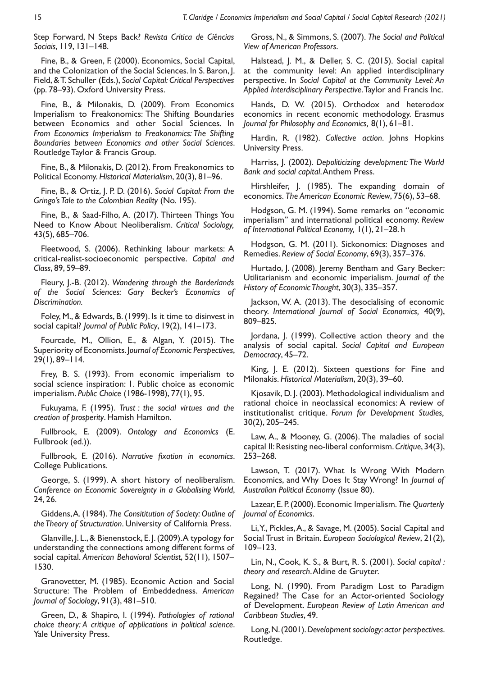Step Forward, N Steps Back? *Revista Crítica de Ciências Sociais*, 119, 131–148.

Fine, B., & Green, F. (2000). Economics, Social Capital, and the Colonization of the Social Sciences. In S. Baron, J. Field, & T. Schuller (Eds.), *Social Capital: Critical Perspectives* (pp. 78–93). Oxford University Press.

Fine, B., & Milonakis, D. (2009). From Economics Imperialism to Freakonomics: The Shifting Boundaries between Economics and other Social Sciences. In *From Economics Imperialism to Freakonomics: The Shifting Boundaries between Economics and other Social Sciences*. Routledge Taylor & Francis Group.

Fine, B., & Milonakis, D. (2012). From Freakonomics to Political Economy. *Historical Materialism*, 20(3), 81–96.

Fine, B., & Ortiz, J. P. D. (2016). *Social Capital: From the Gringo's Tale to the Colombian Reality* (No. 195).

Fine, B., & Saad-Filho, A. (2017). Thirteen Things You Need to Know About Neoliberalism. *Critical Sociology,* 43(5), 685–706.

Fleetwood, S. (2006). Rethinking labour markets: A critical-realist-socioeconomic perspective. *Capital and Class*, 89, 59–89.

Fleury, J.-B. (2012). *Wandering through the Borderlands of the Social Sciences: Gary Becker's Economics of Discrimination.*

Foley, M., & Edwards, B. (1999). Is it time to disinvest in social capital? *Journal of Public Policy*, 19(2), 141–173.

Fourcade, M., Ollion, E., & Algan, Y. (2015). The Superiority of Economists. J*ournal of Economic Perspectives*, 29(1), 89–114.

Frey, B. S. (1993). From economic imperialism to social science inspiration: 1. Public choice as economic imperialism. *Public Choice* (1986-1998), 77(1), 95.

Fukuyama, F. (1995). *Trust : the social virtues and the creation of prosperity*. Hamish Hamilton.

Fullbrook, E. (2009). *Ontology and Economics* (E. Fullbrook (ed.)).

Fullbrook, E. (2016). *Narrative fixation in economics*. College Publications.

George, S. (1999). A short history of neoliberalism. *Conference on Economic Sovereignty in a Globalising World*, 24, 26.

Giddens, A. (1984). *The Consititution of Society: Outline of the Theory of Structuration*. University of California Press.

Glanville, J. L., & Bienenstock, E. J. (2009). A typology for understanding the connections among different forms of social capital. *American Behavioral Scientist*, 52(11), 1507– 1530.

Granovetter, M. (1985). Economic Action and Social Structure: The Problem of Embeddedness. *American Journal of Sociology*, 91(3), 481–510.

Green, D., & Shapiro, I. (1994). *Pathologies of rational choice theory: A critique of applications in political science*. Yale University Press.

Gross, N., & Simmons, S. (2007). *The Social and Political View of American Professors*.

Halstead, J. M., & Deller, S. C. (2015). Social capital at the community level: An applied interdisciplinary perspective. In *Social Capital at the Community Level: An Applied Interdisciplinary Perspective*. Taylor and Francis Inc.

Hands, D. W. (2015). Orthodox and heterodox economics in recent economic methodology. Erasmus *Journal for Philosophy and Economics,* 8(1), 61–81.

Hardin, R. (1982). *Collective action*. Johns Hopkins University Press.

Harriss, J. (2002). *Depoliticizing development: The World Bank and social capital*. Anthem Press.

Hirshleifer, J. (1985). The expanding domain of economics. *The American Economic Review*, 75(6), 53–68.

Hodgson, G. M. (1994). Some remarks on "economic imperialism" and international political economy. *Review of International Political Economy,* 1(1), 21–28. h

Hodgson, G. M. (2011). Sickonomics: Diagnoses and Remedies. *Review of Social Economy*, 69(3), 357–376.

Hurtado, J. (2008). Jeremy Bentham and Gary Becker: Utilitarianism and economic imperialism. *Journal of the History of Economic Thought*, 30(3), 335–357.

Jackson, W. A. (2013). The desocialising of economic theory. *International Journal of Social Economics,* 40(9), 809–825.

Jordana, J. (1999). Collective action theory and the analysis of social capital. *Social Capital and European Democracy*, 45–72.

King, J. E. (2012). Sixteen questions for Fine and Milonakis. *Historical Materialism*, 20(3), 39–60.

Kjosavik, D. J. (2003). Methodological individualism and rational choice in neoclassical economics: A review of institutionalist critique. *Forum for Development Studies,* 30(2), 205–245.

Law, A., & Mooney, G. (2006). The maladies of social capital II: Resisting neo-liberal conformism. *Critique*, 34(3), 253–268.

Lawson, T. (2017). What Is Wrong With Modern Economics, and Why Does It Stay Wrong? In *Journal of Australian Political Economy* (Issue 80).

Lazear, E. P. (2000). Economic Imperialism. *The Quarterly Journal of Economics*.

Li, Y., Pickles, A., & Savage, M. (2005). Social Capital and Social Trust in Britain. *European Sociological Review*, 21(2), 109–123.

Lin, N., Cook, K. S., & Burt, R. S. (2001). *Social capital : theory and research*. Aldine de Gruyter.

Long, N. (1990). From Paradigm Lost to Paradigm Regained? The Case for an Actor-oriented Sociology of Development. *European Review of Latin American and Caribbean Studies*, 49.

Long, N. (2001). *Development sociology: actor perspectives*. Routledge.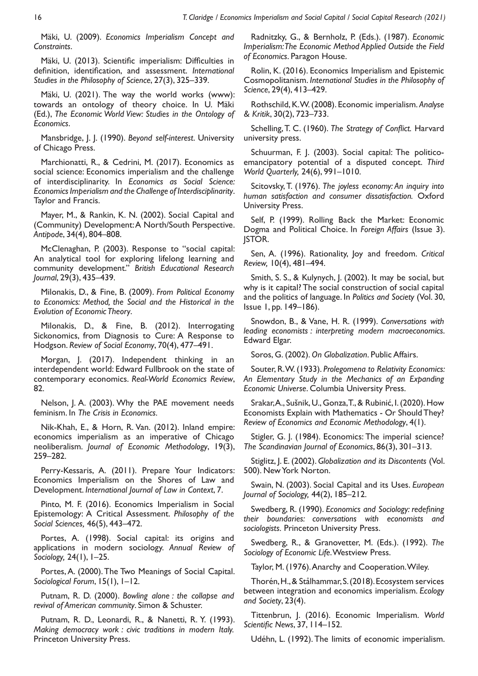Mäki, U. (2009). *Economics Imperialism Concept and Constraints*.

Mäki, U. (2013). Scientific imperialism: Difficulties in definition, identification, and assessment. *International Studies in the Philosophy of Science*, 27(3), 325–339.

Mäki, U. (2021). The way the world works (www): towards an ontology of theory choice. In U. Mäki (Ed.), *The Economic World View: Studies in the Ontology of Economics*.

Mansbridge, J. J. (1990). *Beyond self-interest*. University of Chicago Press.

Marchionatti, R., & Cedrini, M. (2017). Economics as social science: Economics imperialism and the challenge of interdisciplinarity. In *Economics as Social Science: Economics Imperialism and the Challenge of Interdisciplinarity*. Taylor and Francis.

Mayer, M., & Rankin, K. N. (2002). Social Capital and (Community) Development: A North/South Perspective. *Antipode*, 34(4), 804–808.

McClenaghan, P. (2003). Response to "social capital: An analytical tool for exploring lifelong learning and community development." *British Educational Research Journal*, 29(3), 435–439.

Milonakis, D., & Fine, B. (2009). *From Political Economy to Economics: Method, the Social and the Historical in the Evolution of Economic Theory*.

Milonakis, D., & Fine, B. (2012). Interrogating Sickonomics, from Diagnosis to Cure: A Response to Hodgson. *Review of Social Economy*, 70(4), 477–491.

Morgan, J. (2017). Independent thinking in an interdependent world: Edward Fullbrook on the state of contemporary economics. *Real-World Economics Review*, 82.

Nelson, J. A. (2003). Why the PAE movement needs feminism. In *The Crisis in Economics.*

Nik-Khah, E., & Horn, R. Van. (2012). Inland empire: economics imperialism as an imperative of Chicago neoliberalism. *Journal of Economic Methodology*, 19(3), 259–282.

Perry-Kessaris, A. (2011). Prepare Your Indicators: Economics Imperialism on the Shores of Law and Development. *International Journal of Law in Context*, 7.

Pinto, M. F. (2016). Economics Imperialism in Social Epistemology: A Critical Assessment. *Philosophy of the Social Sciences,* 46(5), 443–472.

Portes, A. (1998). Social capital: its origins and applications in modern sociology. *Annual Review of Sociology,* 24(1), 1–25.

Portes, A. (2000). The Two Meanings of Social Capital. *Sociological Forum*, 15(1), 1–12.

Putnam, R. D. (2000). *Bowling alone : the collapse and revival of American community*. Simon & Schuster.

Putnam, R. D., Leonardi, R., & Nanetti, R. Y. (1993). *Making democracy work : civic traditions in modern Italy.* Princeton University Press.

Radnitzky, G., & Bernholz, P. (Eds.). (1987). *Economic Imperialism: The Economic Method Applied Outside the Field of Economics*. Paragon House.

Rolin, K. (2016). Economics Imperialism and Epistemic Cosmopolitanism. *International Studies in the Philosophy of Science*, 29(4), 413–429.

Rothschild, K. W. (2008). Economic imperialism. *Analyse & Kritik*, 30(2), 723–733.

Schelling, T. C. (1960). *The Strategy of Conflict.* Harvard university press.

Schuurman, F. J. (2003). Social capital: The politicoemancipatory potential of a disputed concept. *Third World Quarterly,* 24(6), 991–1010.

Scitovsky, T. (1976). *The joyless economy: An inquiry into human satisfaction and consumer dissatisfaction.* Oxford University Press.

Self, P. (1999). Rolling Back the Market: Economic Dogma and Political Choice. In *Foreign Affairs* (Issue 3). JSTOR.

Sen, A. (1996). Rationality, Joy and freedom. *Critical Review,* 10(4), 481–494.

Smith, S. S., & Kulynych, J. (2002). It may be social, but why is it capital? The social construction of social capital and the politics of language. In *Politics and Society* (Vol. 30, Issue 1, pp. 149–186).

Snowdon, B., & Vane, H. R. (1999). *Conversations with leading economists : interpreting modern macroeconomics*. Edward Elgar.

Soros, G. (2002). *On Globalization*. Public Affairs.

Souter, R. W. (1933). *Prolegomena to Relativity Economics: An Elementary Study in the Mechanics of an Expanding Economic Universe*. Columbia University Press.

Srakar, A., Sušnik, U., Gonza, T., & Rubinić, I. (2020). How Economists Explain with Mathematics - Or Should They? *Review of Economics and Economic Methodology*, 4(1).

Stigler, G. J. (1984). Economics: The imperial science? *The Scandinavian Journal of Economics*, 86(3), 301–313.

Stiglitz, J. E. (2002). *Globalization and its Discontents* (Vol. 500). New York Norton.

Swain, N. (2003). Social Capital and its Uses. *European Journal of Sociology,* 44(2), 185–212.

Swedberg, R. (1990). *Economics and Sociology: redefining their boundaries: conversations with economists and sociologists.* Princeton University Press.

Swedberg, R., & Granovetter, M. (Eds.). (1992). *The Sociology of Economic Life*. Westview Press.

Taylor, M. (1976). Anarchy and Cooperation. Wiley.

Thorén, H., & Stålhammar, S. (2018). Ecosystem services between integration and economics imperialism. *Ecology and Society*, 23(4).

Tittenbrun, J. (2016). Economic Imperialism. *World Scientific News*, 37, 114–152.

Udéhn, L. (1992). The limits of economic imperialism.